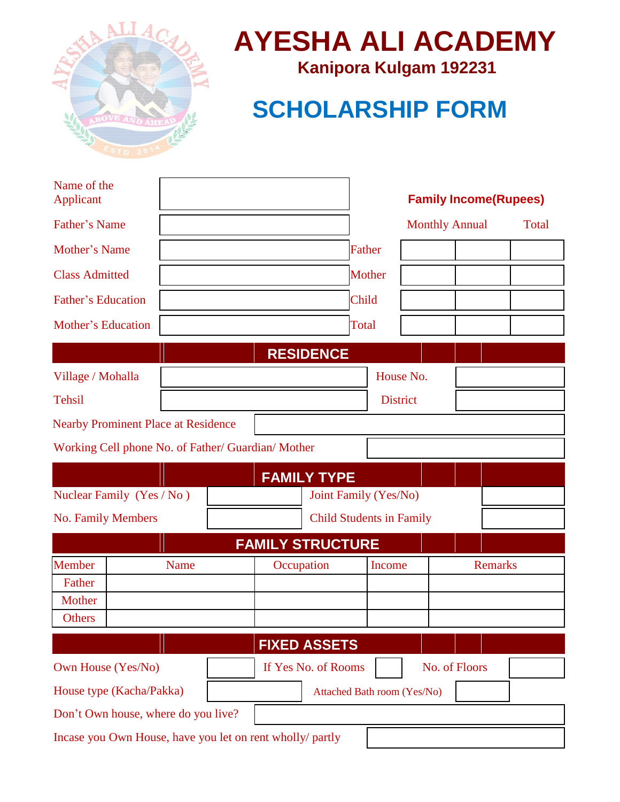

# **AYESHA ALI ACADEMY**

**Kanipora Kulgam 192231**

## **SCHOLARSHIP FORM**

| Name of the<br>Applicant                                  |                                 |                         |                             |                 | <b>Family Income(Rupees)</b> |              |
|-----------------------------------------------------------|---------------------------------|-------------------------|-----------------------------|-----------------|------------------------------|--------------|
| <b>Father's Name</b>                                      |                                 |                         |                             |                 | <b>Monthly Annual</b>        | <b>Total</b> |
| Mother's Name                                             |                                 |                         | Father                      |                 |                              |              |
| <b>Class Admitted</b>                                     |                                 |                         | Mother                      |                 |                              |              |
| <b>Father's Education</b>                                 |                                 |                         | Child                       |                 |                              |              |
| <b>Mother's Education</b>                                 |                                 |                         | Total                       |                 |                              |              |
|                                                           |                                 | <b>RESIDENCE</b>        |                             |                 |                              |              |
| Village / Mohalla                                         |                                 |                         |                             | House No.       |                              |              |
| <b>Tehsil</b>                                             |                                 |                         |                             | <b>District</b> |                              |              |
| <b>Nearby Prominent Place at Residence</b>                |                                 |                         |                             |                 |                              |              |
| Working Cell phone No. of Father/ Guardian/ Mother        |                                 |                         |                             |                 |                              |              |
|                                                           |                                 | <b>FAMILY TYPE</b>      |                             |                 |                              |              |
| Nuclear Family (Yes / No)                                 | Joint Family (Yes/No)           |                         |                             |                 |                              |              |
| <b>No. Family Members</b>                                 | <b>Child Students in Family</b> |                         |                             |                 |                              |              |
|                                                           |                                 | <b>FAMILY STRUCTURE</b> |                             |                 |                              |              |
| Member                                                    | Name                            | Occupation              |                             | Income          | <b>Remarks</b>               |              |
| Father<br>Mother                                          |                                 |                         |                             |                 |                              |              |
| Others                                                    |                                 |                         |                             |                 |                              |              |
|                                                           |                                 | <b>FIXED ASSETS</b>     |                             |                 |                              |              |
| Own House (Yes/No)                                        |                                 | If Yes No. of Rooms     |                             |                 | No. of Floors                |              |
| House type (Kacha/Pakka)                                  |                                 |                         | Attached Bath room (Yes/No) |                 |                              |              |
| Don't Own house, where do you live?                       |                                 |                         |                             |                 |                              |              |
| Incase you Own House, have you let on rent wholly/ partly |                                 |                         |                             |                 |                              |              |
|                                                           |                                 |                         |                             |                 |                              |              |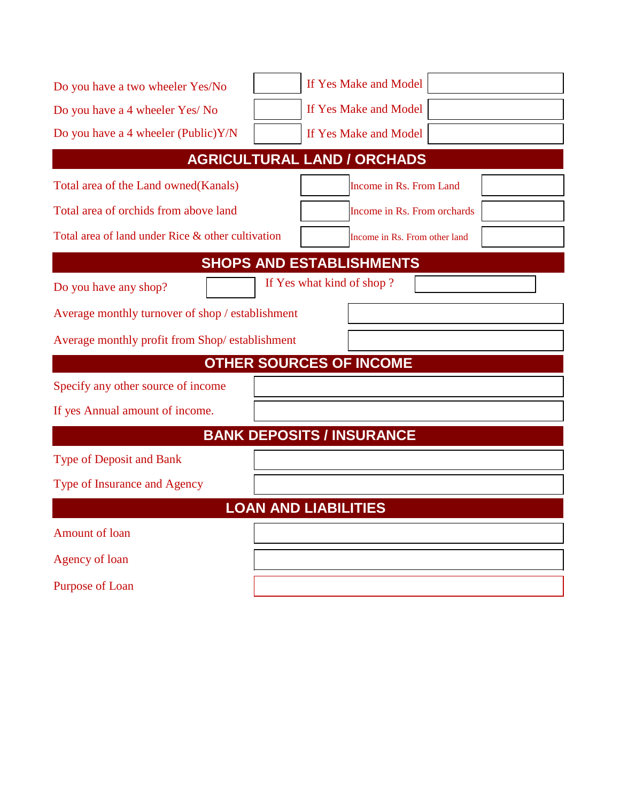| Do you have a two wheeler Yes/No                  |                                    | If Yes Make and Model         |  |  |  |  |
|---------------------------------------------------|------------------------------------|-------------------------------|--|--|--|--|
| Do you have a 4 wheeler Yes/ No                   |                                    | If Yes Make and Model         |  |  |  |  |
| Do you have a 4 wheeler (Public)Y/N               |                                    | If Yes Make and Model         |  |  |  |  |
|                                                   | <b>AGRICULTURAL LAND / ORCHADS</b> |                               |  |  |  |  |
| Total area of the Land owned(Kanals)              |                                    | Income in Rs. From Land       |  |  |  |  |
| Total area of orchids from above land             |                                    | Income in Rs. From orchards   |  |  |  |  |
| Total area of land under Rice & other cultivation |                                    | Income in Rs. From other land |  |  |  |  |
|                                                   | <b>SHOPS AND ESTABLISHMENTS</b>    |                               |  |  |  |  |
| Do you have any shop?                             | If Yes what kind of shop?          |                               |  |  |  |  |
| Average monthly turnover of shop / establishment  |                                    |                               |  |  |  |  |
| Average monthly profit from Shop/establishment    |                                    |                               |  |  |  |  |
|                                                   | <b>OTHER SOURCES OF INCOME</b>     |                               |  |  |  |  |
| Specify any other source of income                |                                    |                               |  |  |  |  |
| If yes Annual amount of income.                   |                                    |                               |  |  |  |  |
|                                                   | <b>BANK DEPOSITS / INSURANCE</b>   |                               |  |  |  |  |
| <b>Type of Deposit and Bank</b>                   |                                    |                               |  |  |  |  |
| Type of Insurance and Agency                      |                                    |                               |  |  |  |  |
|                                                   | <b>LOAN AND LIABILITIES</b>        |                               |  |  |  |  |
| <b>Amount of loan</b>                             |                                    |                               |  |  |  |  |
| Agency of loan                                    |                                    |                               |  |  |  |  |
| Purpose of Loan                                   |                                    |                               |  |  |  |  |